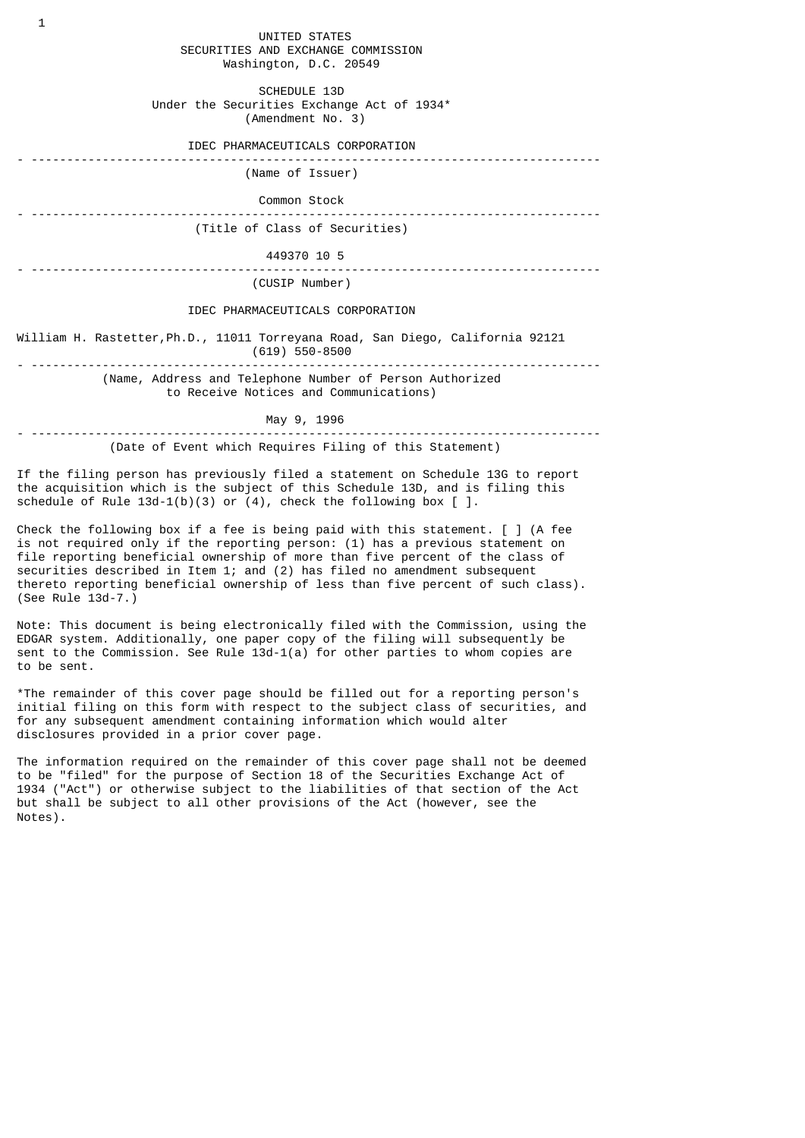UNITED STATES SECURITIES AND EXCHANGE COMMISSION Washington, D.C. 20549

 SCHEDULE 13D Under the Securities Exchange Act of 1934\* (Amendment No. 3)

IDEC PHARMACEUTICALS CORPORATION

- --------------------------------------------------------------------------------

(Name of Issuer)

Common Stock

- -------------------------------------------------------------------------------- (Title of Class of Securities)

 449370 10 5 - --------------------------------------------------------------------------------

(CUSIP Number)

IDEC PHARMACEUTICALS CORPORATION

William H. Rastetter,Ph.D., 11011 Torreyana Road, San Diego, California 92121 (619) 550-8500 - --------------------------------------------------------------------------------

 (Name, Address and Telephone Number of Person Authorized to Receive Notices and Communications)

May 9, 1996

- --------------------------------------------------------------------------------

(Date of Event which Requires Filing of this Statement)

If the filing person has previously filed a statement on Schedule 13G to report the acquisition which is the subject of this Schedule 13D, and is filing this schedule of Rule 13d-1(b)(3) or  $(4)$ , check the following box [ ].

Check the following box if a fee is being paid with this statement.  $\lceil \cdot \rceil$  (A fee is not required only if the reporting person: (1) has a previous statement on file reporting beneficial ownership of more than five percent of the class of securities described in Item 1; and (2) has filed no amendment subsequent thereto reporting beneficial ownership of less than five percent of such class). (See Rule 13d-7.)

Note: This document is being electronically filed with the Commission, using the EDGAR system. Additionally, one paper copy of the filing will subsequently be sent to the Commission. See Rule 13d-1(a) for other parties to whom copies are to be sent.

\*The remainder of this cover page should be filled out for a reporting person's initial filing on this form with respect to the subject class of securities, and for any subsequent amendment containing information which would alter disclosures provided in a prior cover page.

The information required on the remainder of this cover page shall not be deemed to be "filed" for the purpose of Section 18 of the Securities Exchange Act of 1934 ("Act") or otherwise subject to the liabilities of that section of the Act but shall be subject to all other provisions of the Act (however, see the Notes).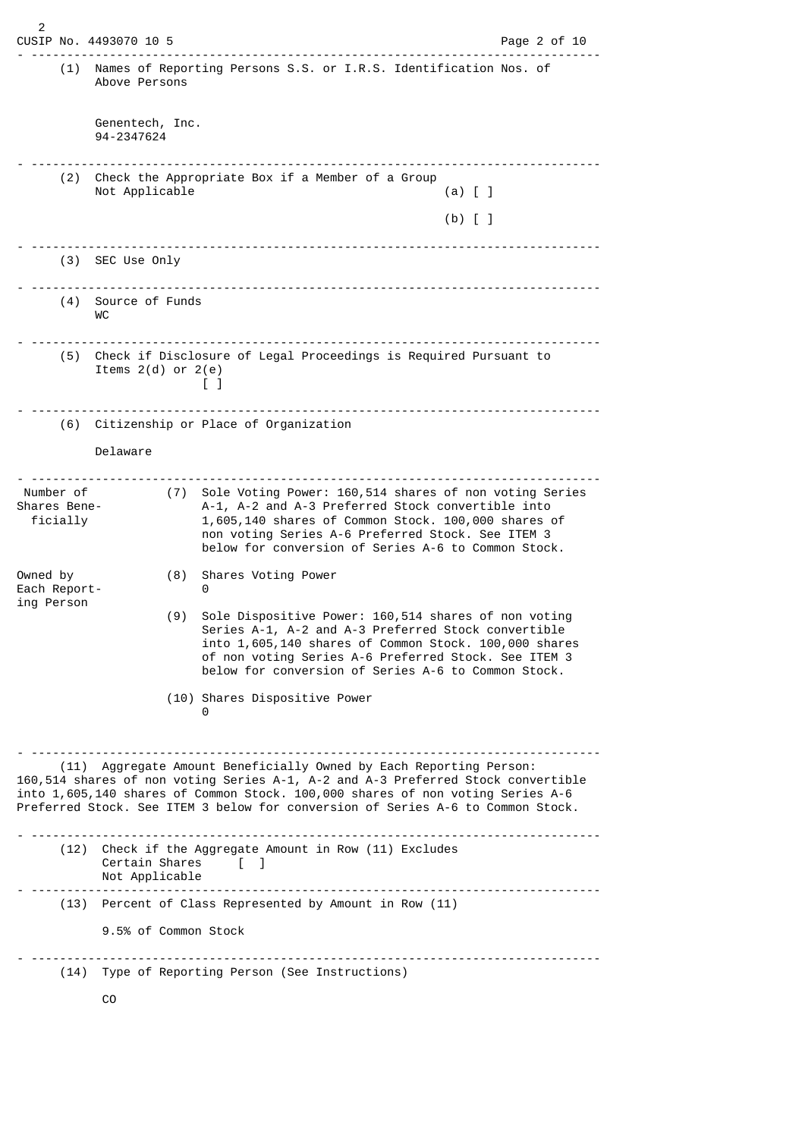$\overline{2}$ CUSIP No. 4493070 10 5 Page 2 of 10 - -------------------------------------------------------------------------------- (1) Names of Reporting Persons S.S. or I.R.S. Identification Nos. of Above Persons Genentech, Inc. 94-2347624 - -------------------------------------------------------------------------------- (2) Check the Appropriate Box if a Member of a Group Not Applicable (a) [ ] (b)  $\begin{bmatrix} 1 \end{bmatrix}$ - -------------------------------------------------------------------------------- (3) SEC Use Only - -------------------------------------------------------------------------------- (4) Source of Funds WC - -------------------------------------------------------------------------------- (5) Check if Disclosure of Legal Proceedings is Required Pursuant to Items  $2(d)$  or  $2(e)$  [ ] - -------------------------------------------------------------------------------- (6) Citizenship or Place of Organization Delaware - -------------------------------------------------------------------------------- Number of (7) Sole Voting Power: 160,514 shares of non voting Series Shares Bene- A-1, A-2 and A-3 Preferred Stock convertible into ficially 1,605,140 shares of Common Stock. 100,000 shares of non voting Series A-6 Preferred Stock. See ITEM 3 below for conversion of Series A-6 to Common Stock. Owned by (8) Shares Voting Power Each Report- 2002 ing Person (9) Sole Dispositive Power: 160,514 shares of non voting Series A-1, A-2 and A-3 Preferred Stock convertible into  $1,605,140$  shares of Common Stock. 100,000 shares of non voting Series A-6 Preferred Stock. See ITEM 3 below for conversion of Series A-6 to Common Stock. (10) Shares Dispositive Power <u>0</u> - -------------------------------------------------------------------------------- (11) Aggregate Amount Beneficially Owned by Each Reporting Person: 160,514 shares of non voting Series A-1, A-2 and A-3 Preferred Stock convertible into 1,605,140 shares of Common Stock. 100,000 shares of non voting Series A-6 Preferred Stock. See ITEM 3 below for conversion of Series A-6 to Common Stock. - -------------------------------------------------------------------------------- (12) Check if the Aggregate Amount in Row (11) Excludes Certain Shares [ ] Not Applicable - -------------------------------------------------------------------------------- (13) Percent of Class Represented by Amount in Row (11) 9.5% of Common Stock - -------------------------------------------------------------------------------- (14) Type of Reporting Person (See Instructions)  $C<sub>O</sub>$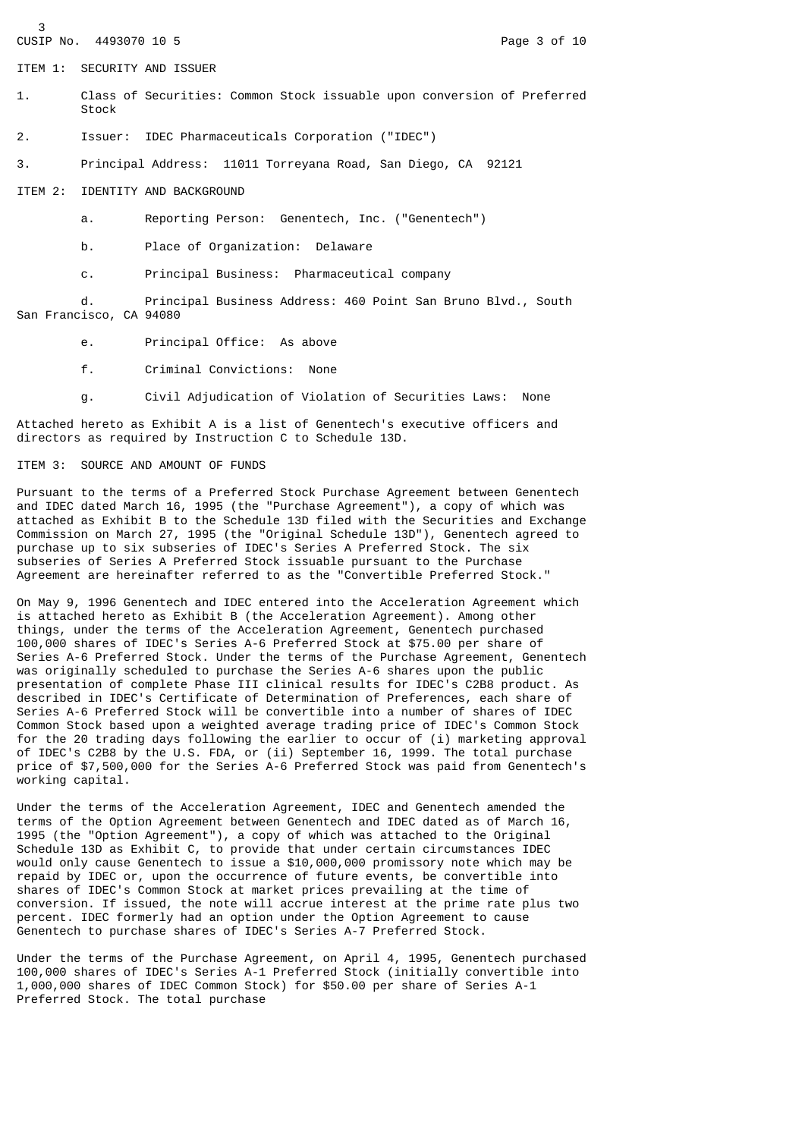3 CUSIP No. 4493070 10 5 Page 3 of 10

ITEM 1: SECURITY AND ISSUER

- 1. Class of Securities: Common Stock issuable upon conversion of Preferred Stock
- 2. Issuer: IDEC Pharmaceuticals Corporation ("IDEC")
- 3. Principal Address: 11011 Torreyana Road, San Diego, CA 92121

ITEM 2: IDENTITY AND BACKGROUND

- a. Reporting Person: Genentech, Inc. ("Genentech")
- b. Place of Organization: Delaware
- c. Principal Business: Pharmaceutical company

 d. Principal Business Address: 460 Point San Bruno Blvd., South San Francisco, CA 94080

- e. Principal Office: As above
- f. Criminal Convictions: None
- g. Civil Adjudication of Violation of Securities Laws: None

Attached hereto as Exhibit A is a list of Genentech's executive officers and directors as required by Instruction C to Schedule 13D.

### ITEM 3: SOURCE AND AMOUNT OF FUNDS

Pursuant to the terms of a Preferred Stock Purchase Agreement between Genentech and IDEC dated March 16, 1995 (the "Purchase Agreement"), a copy of which was attached as Exhibit B to the Schedule 13D filed with the Securities and Exchange Commission on March 27, 1995 (the "Original Schedule 13D"), Genentech agreed to purchase up to six subseries of IDEC's Series A Preferred Stock. The six subseries of Series A Preferred Stock issuable pursuant to the Purchase Agreement are hereinafter referred to as the "Convertible Preferred Stock."

On May 9, 1996 Genentech and IDEC entered into the Acceleration Agreement which is attached hereto as Exhibit B (the Acceleration Agreement). Among other things, under the terms of the Acceleration Agreement, Genentech purchased 100,000 shares of IDEC's Series A-6 Preferred Stock at \$75.00 per share of Series A-6 Preferred Stock. Under the terms of the Purchase Agreement, Genentech was originally scheduled to purchase the Series A-6 shares upon the public presentation of complete Phase III clinical results for IDEC's C2B8 product. As described in IDEC's Certificate of Determination of Preferences, each share of Series A-6 Preferred Stock will be convertible into a number of shares of IDEC Common Stock based upon a weighted average trading price of IDEC's Common Stock for the 20 trading days following the earlier to occur of (i) marketing approval of IDEC's C2B8 by the U.S. FDA, or (ii) September 16, 1999. The total purchase price of \$7,500,000 for the Series A-6 Preferred Stock was paid from Genentech's working capital.

Under the terms of the Acceleration Agreement, IDEC and Genentech amended the terms of the Option Agreement between Genentech and IDEC dated as of March 16, 1995 (the "Option Agreement"), a copy of which was attached to the Original Schedule 13D as Exhibit C, to provide that under certain circumstances IDEC would only cause Genentech to issue a \$10,000,000 promissory note which may be repaid by IDEC or, upon the occurrence of future events, be convertible into shares of IDEC's Common Stock at market prices prevailing at the time of conversion. If issued, the note will accrue interest at the prime rate plus two percent. IDEC formerly had an option under the Option Agreement to cause Genentech to purchase shares of IDEC's Series A-7 Preferred Stock.

Under the terms of the Purchase Agreement, on April 4, 1995, Genentech purchased 100,000 shares of IDEC's Series A-1 Preferred Stock (initially convertible into 1,000,000 shares of IDEC Common Stock) for \$50.00 per share of Series A-1 Preferred Stock. The total purchase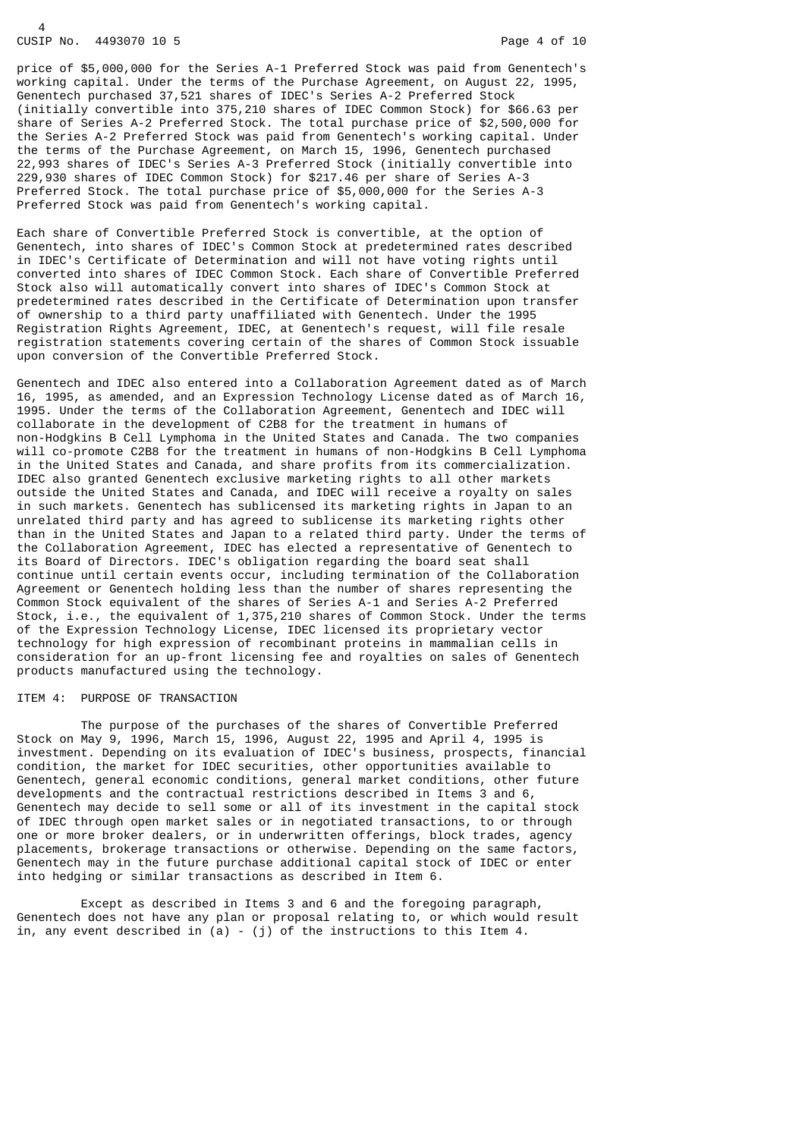# CUSIP No. 4493070 10 5 Page 4 of 10

 $\overline{A}$ 

price of \$5,000,000 for the Series A-1 Preferred Stock was paid from Genentech's working capital. Under the terms of the Purchase Agreement, on August 22, 1995, Genentech purchased 37,521 shares of IDEC's Series A-2 Preferred Stock (initially convertible into 375,210 shares of IDEC Common Stock) for \$66.63 per share of Series A-2 Preferred Stock. The total purchase price of \$2,500,000 for the Series A-2 Preferred Stock was paid from Genentech's working capital. Under the terms of the Purchase Agreement, on March 15, 1996, Genentech purchased 22,993 shares of IDEC's Series A-3 Preferred Stock (initially convertible into 229,930 shares of IDEC Common Stock) for \$217.46 per share of Series A-3 Preferred Stock. The total purchase price of \$5,000,000 for the Series A-3 Preferred Stock was paid from Genentech's working capital.

Each share of Convertible Preferred Stock is convertible, at the option of Genentech, into shares of IDEC's Common Stock at predetermined rates described in IDEC's Certificate of Determination and will not have voting rights until converted into shares of IDEC Common Stock. Each share of Convertible Preferred Stock also will automatically convert into shares of IDEC's Common Stock at predetermined rates described in the Certificate of Determination upon transfer of ownership to a third party unaffiliated with Genentech. Under the 1995 Registration Rights Agreement, IDEC, at Genentech's request, will file resale registration statements covering certain of the shares of Common Stock issuable upon conversion of the Convertible Preferred Stock.

Genentech and IDEC also entered into a Collaboration Agreement dated as of March 16, 1995, as amended, and an Expression Technology License dated as of March 16, 1995. Under the terms of the Collaboration Agreement, Genentech and IDEC will collaborate in the development of C2B8 for the treatment in humans of non-Hodgkins B Cell Lymphoma in the United States and Canada. The two companies will co-promote C2B8 for the treatment in humans of non-Hodgkins B Cell Lymphoma in the United States and Canada, and share profits from its commercialization. IDEC also granted Genentech exclusive marketing rights to all other markets outside the United States and Canada, and IDEC will receive a royalty on sales in such markets. Genentech has sublicensed its marketing rights in Japan to an unrelated third party and has agreed to sublicense its marketing rights other than in the United States and Japan to a related third party. Under the terms of the Collaboration Agreement, IDEC has elected a representative of Genentech to its Board of Directors. IDEC's obligation regarding the board seat shall continue until certain events occur, including termination of the Collaboration Agreement or Genentech holding less than the number of shares representing the Common Stock equivalent of the shares of Series A-1 and Series A-2 Preferred Stock, i.e., the equivalent of 1,375,210 shares of Common Stock. Under the terms of the Expression Technology License, IDEC licensed its proprietary vector technology for high expression of recombinant proteins in mammalian cells in consideration for an up-front licensing fee and royalties on sales of Genentech products manufactured using the technology.

#### ITEM 4: PURPOSE OF TRANSACTION

 The purpose of the purchases of the shares of Convertible Preferred Stock on May 9, 1996, March 15, 1996, August 22, 1995 and April 4, 1995 is investment. Depending on its evaluation of IDEC's business, prospects, financial condition, the market for IDEC securities, other opportunities available to Genentech, general economic conditions, general market conditions, other future developments and the contractual restrictions described in Items 3 and 6, Genentech may decide to sell some or all of its investment in the capital stock of IDEC through open market sales or in negotiated transactions, to or through one or more broker dealers, or in underwritten offerings, block trades, agency placements, brokerage transactions or otherwise. Depending on the same factors, Genentech may in the future purchase additional capital stock of IDEC or enter into hedging or similar transactions as described in Item 6.

 Except as described in Items 3 and 6 and the foregoing paragraph, Genentech does not have any plan or proposal relating to, or which would result in, any event described in  $(a)$  - (j) of the instructions to this Item 4.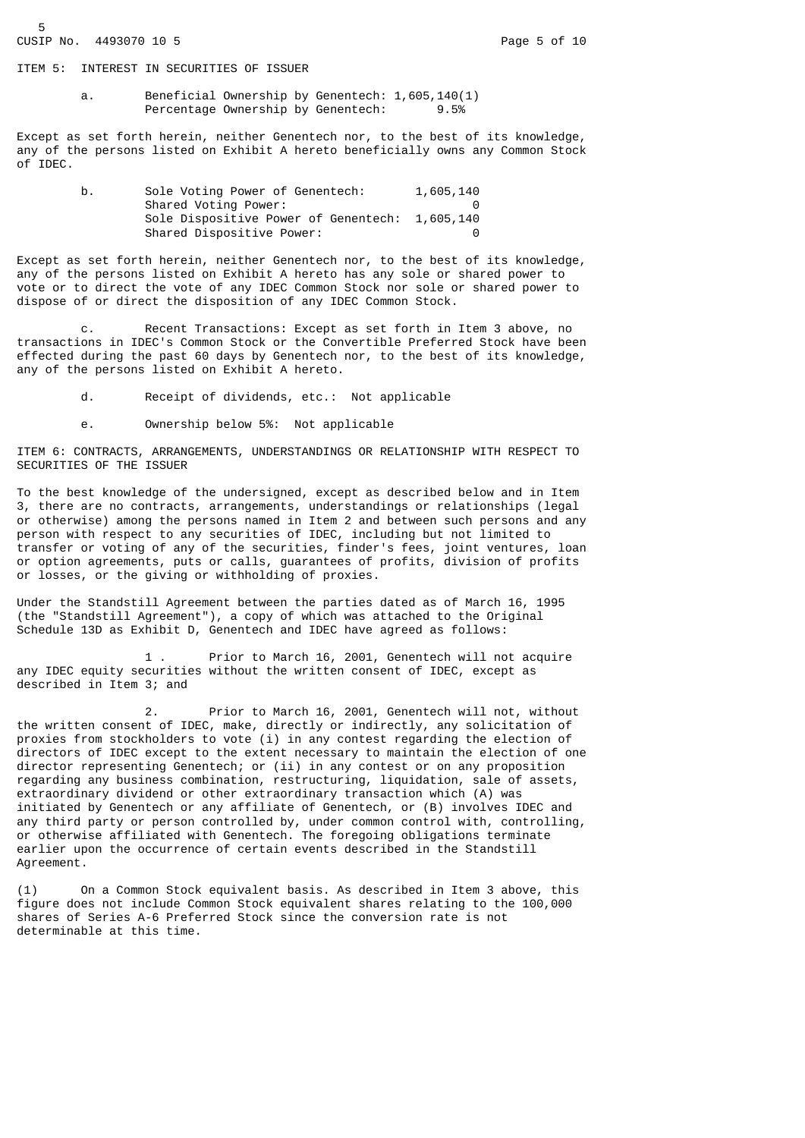ITEM 5: INTEREST IN SECURITIES OF ISSUER

 a. Beneficial Ownership by Genentech: 1,605,140(1) Percentage Ownership by Genentech: 9.5%

Except as set forth herein, neither Genentech nor, to the best of its knowledge, any of the persons listed on Exhibit A hereto beneficially owns any Common Stock of IDEC.

| b. | Sole Voting Power of Genentech:                | 1,605,140 |
|----|------------------------------------------------|-----------|
|    | Shared Voting Power:                           |           |
|    | Sole Dispositive Power of Genentech: 1,605,140 |           |
|    | Shared Dispositive Power:                      | 0         |

Except as set forth herein, neither Genentech nor, to the best of its knowledge, any of the persons listed on Exhibit A hereto has any sole or shared power to vote or to direct the vote of any IDEC Common Stock nor sole or shared power to dispose of or direct the disposition of any IDEC Common Stock.

 c. Recent Transactions: Except as set forth in Item 3 above, no transactions in IDEC's Common Stock or the Convertible Preferred Stock have been effected during the past 60 days by Genentech nor, to the best of its knowledge, any of the persons listed on Exhibit A hereto.

- d. Receipt of dividends, etc.: Not applicable
- e. Ownership below 5%: Not applicable

ITEM 6: CONTRACTS, ARRANGEMENTS, UNDERSTANDINGS OR RELATIONSHIP WITH RESPECT TO SECURITIES OF THE ISSUER

To the best knowledge of the undersigned, except as described below and in Item 3, there are no contracts, arrangements, understandings or relationships (legal or otherwise) among the persons named in Item 2 and between such persons and any person with respect to any securities of IDEC, including but not limited to transfer or voting of any of the securities, finder's fees, joint ventures, loan or option agreements, puts or calls, guarantees of profits, division of profits or losses, or the giving or withholding of proxies.

Under the Standstill Agreement between the parties dated as of March 16, 1995 (the "Standstill Agreement"), a copy of which was attached to the Original Schedule 13D as Exhibit D, Genentech and IDEC have agreed as follows:

 1 . Prior to March 16, 2001, Genentech will not acquire any IDEC equity securities without the written consent of IDEC, except as described in Item 3; and

 2. Prior to March 16, 2001, Genentech will not, without the written consent of IDEC, make, directly or indirectly, any solicitation of proxies from stockholders to vote (i) in any contest regarding the election of directors of IDEC except to the extent necessary to maintain the election of one director representing Genentech; or (ii) in any contest or on any proposition regarding any business combination, restructuring, liquidation, sale of assets, extraordinary dividend or other extraordinary transaction which (A) was initiated by Genentech or any affiliate of Genentech, or (B) involves IDEC and any third party or person controlled by, under common control with, controlling, or otherwise affiliated with Genentech. The foregoing obligations terminate earlier upon the occurrence of certain events described in the Standstill Agreement.

(1) On a Common Stock equivalent basis. As described in Item 3 above, this figure does not include Common Stock equivalent shares relating to the 100,000 shares of Series A-6 Preferred Stock since the conversion rate is not determinable at this time.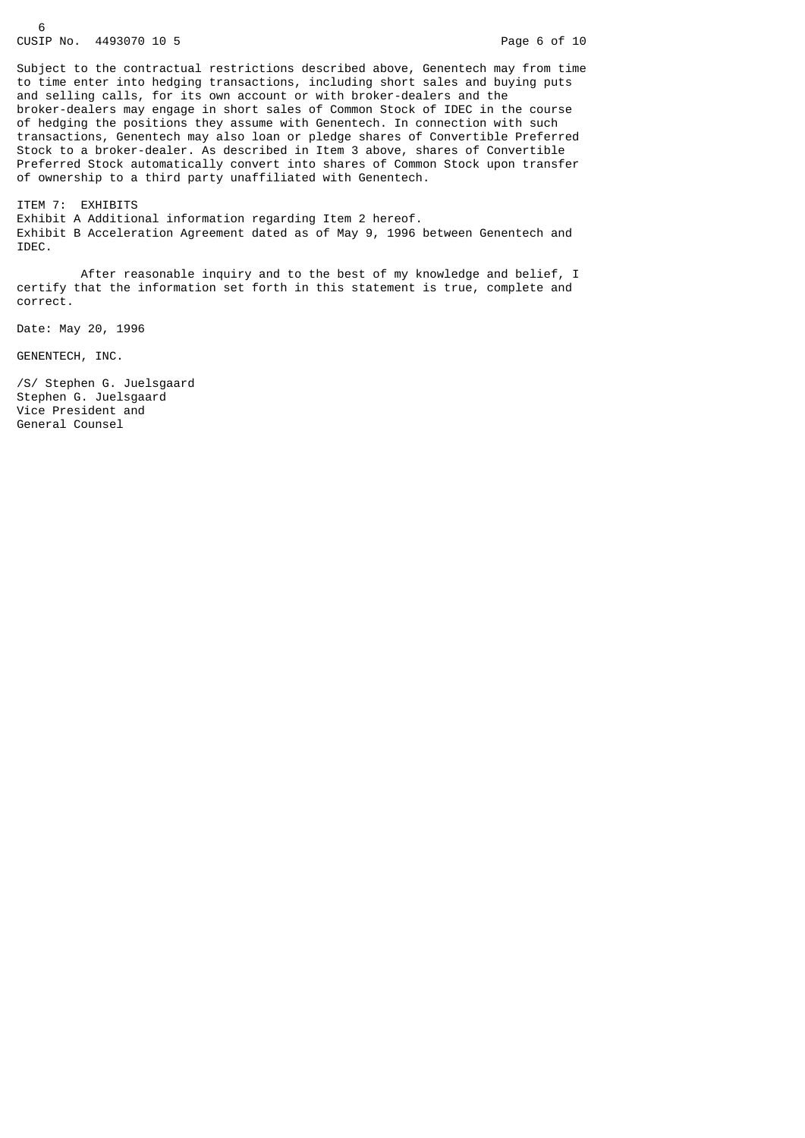#### 6 CUSIP No. 4493070 10 5 Page 6 of 10

Subject to the contractual restrictions described above, Genentech may from time to time enter into hedging transactions, including short sales and buying puts and selling calls, for its own account or with broker-dealers and the broker-dealers may engage in short sales of Common Stock of IDEC in the course of hedging the positions they assume with Genentech. In connection with such transactions, Genentech may also loan or pledge shares of Convertible Preferred Stock to a broker-dealer. As described in Item 3 above, shares of Convertible Preferred Stock automatically convert into shares of Common Stock upon transfer of ownership to a third party unaffiliated with Genentech.

ITEM 7: EXHIBITS Exhibit A Additional information regarding Item 2 hereof. Exhibit B Acceleration Agreement dated as of May 9, 1996 between Genentech and IDEC.

After reasonable inquiry and to the best of my knowledge and belief, I certify that the information set forth in this statement is true, complete and correct.

Date: May 20, 1996

GENENTECH, INC.

/S/ Stephen G. Juelsgaard Stephen G. Juelsgaard Vice President and General Counsel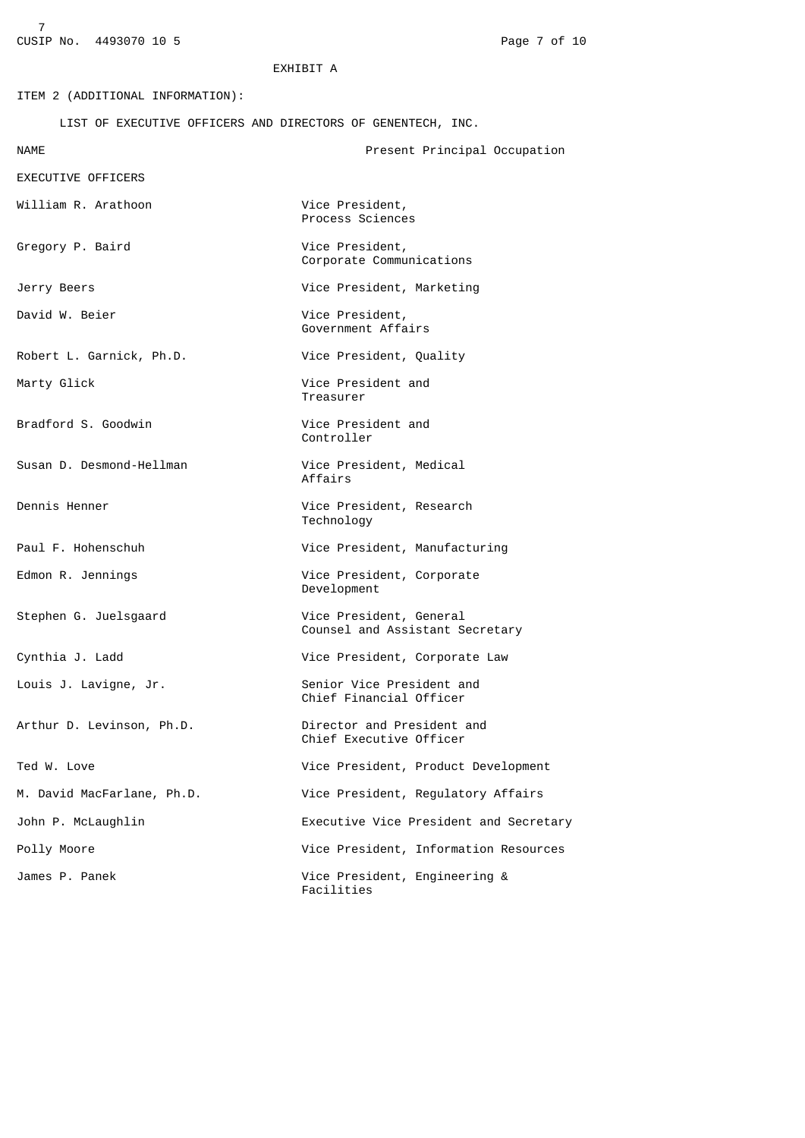## EXHIBIT A

ITEM 2 (ADDITIONAL INFORMATION): LIST OF EXECUTIVE OFFICERS AND DIRECTORS OF GENENTECH, INC. NAME Present Principal Occupation EXECUTIVE OFFICERS William R. Arathoon Vice President, Process Sciences Gregory P. Baird Vice President, Corporate Communications Jerry Beers Vice President, Marketing David W. Beier **Vice President**, Government Affairs Robert L. Garnick, Ph.D. Vice President, Quality Marty Glick **Vice President** and Treasurer Bradford S. Goodwin Vice President and Controller Susan D. Desmond-Hellman Vice President, Medical Affairs Dennis Henner **Vice President, Research**  Technology Paul F. Hohenschuh Vice President, Manufacturing Edmon R. Jennings The Communication Communication President, Corporate Development Stephen G. Juelsgaard Vice President, General Counsel and Assistant Secretary Cynthia J. Ladd **Vice President, Corporate Law** Louis J. Lavigne, Jr. Senior Vice President and Chief Financial Officer Arthur D. Levinson, Ph.D. Director and President and Chief Executive Officer Ted W. Love **Vice President, Product Development** M. David MacFarlane, Ph.D. Vice President, Regulatory Affairs John P. McLaughlin Executive Vice President and Secretary Polly Moore Vice President, Information Resources James P. Panek Vice President, Engineering & Facilities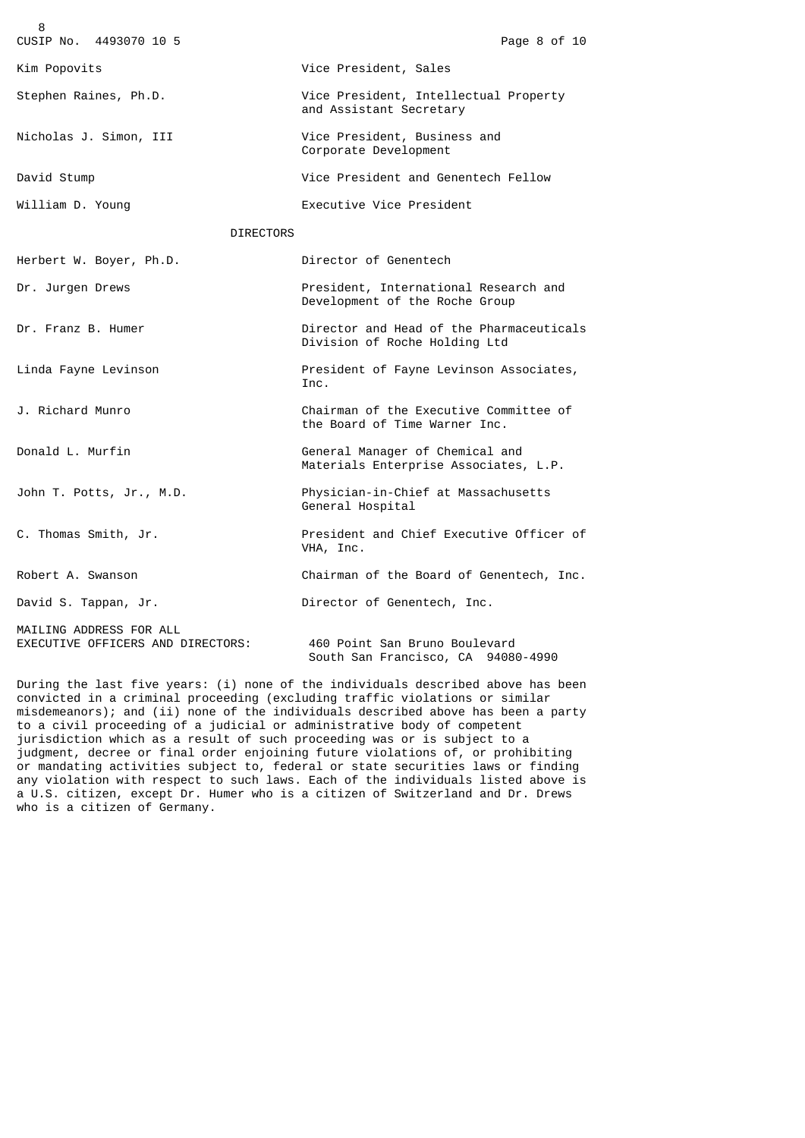| 8                                                            |                                                                           |
|--------------------------------------------------------------|---------------------------------------------------------------------------|
| CUSIP No. 4493070 10 5                                       | Page 8 of 10                                                              |
| Kim Popovits                                                 | Vice President, Sales                                                     |
| Stephen Raines, Ph.D.                                        | Vice President, Intellectual Property<br>and Assistant Secretary          |
| Nicholas J. Simon, III                                       | Vice President, Business and<br>Corporate Development                     |
| David Stump                                                  | Vice President and Genentech Fellow                                       |
| William D. Young                                             | Executive Vice President                                                  |
| <b>DIRECTORS</b>                                             |                                                                           |
| Herbert W. Boyer, Ph.D.                                      | Director of Genentech                                                     |
| Dr. Jurgen Drews                                             | President, International Research and<br>Development of the Roche Group   |
| Dr. Franz B. Humer                                           | Director and Head of the Pharmaceuticals<br>Division of Roche Holding Ltd |
| Linda Fayne Levinson                                         | President of Fayne Levinson Associates,<br>Inc.                           |
| J. Richard Munro                                             | Chairman of the Executive Committee of<br>the Board of Time Warner Inc.   |
| Donald L. Murfin                                             | General Manager of Chemical and<br>Materials Enterprise Associates, L.P.  |
| John T. Potts, Jr., M.D.                                     | Physician-in-Chief at Massachusetts<br>General Hospital                   |
| C. Thomas Smith, Jr.                                         | President and Chief Executive Officer of<br>VHA, Inc.                     |
| Robert A. Swanson                                            | Chairman of the Board of Genentech, Inc.                                  |
| David S. Tappan, Jr.                                         | Director of Genentech, Inc.                                               |
| MAILING ADDRESS FOR ALL<br>EXECUTIVE OFFICERS AND DIRECTORS: | 460 Point San Bruno Boulevard<br>South San Francisco, CA 94080-4990       |

During the last five years: (i) none of the individuals described above has been convicted in a criminal proceeding (excluding traffic violations or similar misdemeanors); and (ii) none of the individuals described above has been a party to a civil proceeding of a judicial or administrative body of competent jurisdiction which as a result of such proceeding was or is subject to a judgment, decree or final order enjoining future violations of, or prohibiting or mandating activities subject to, federal or state securities laws or finding any violation with respect to such laws. Each of the individuals listed above is a U.S. citizen, except Dr. Humer who is a citizen of Switzerland and Dr. Drews who is a citizen of Germany.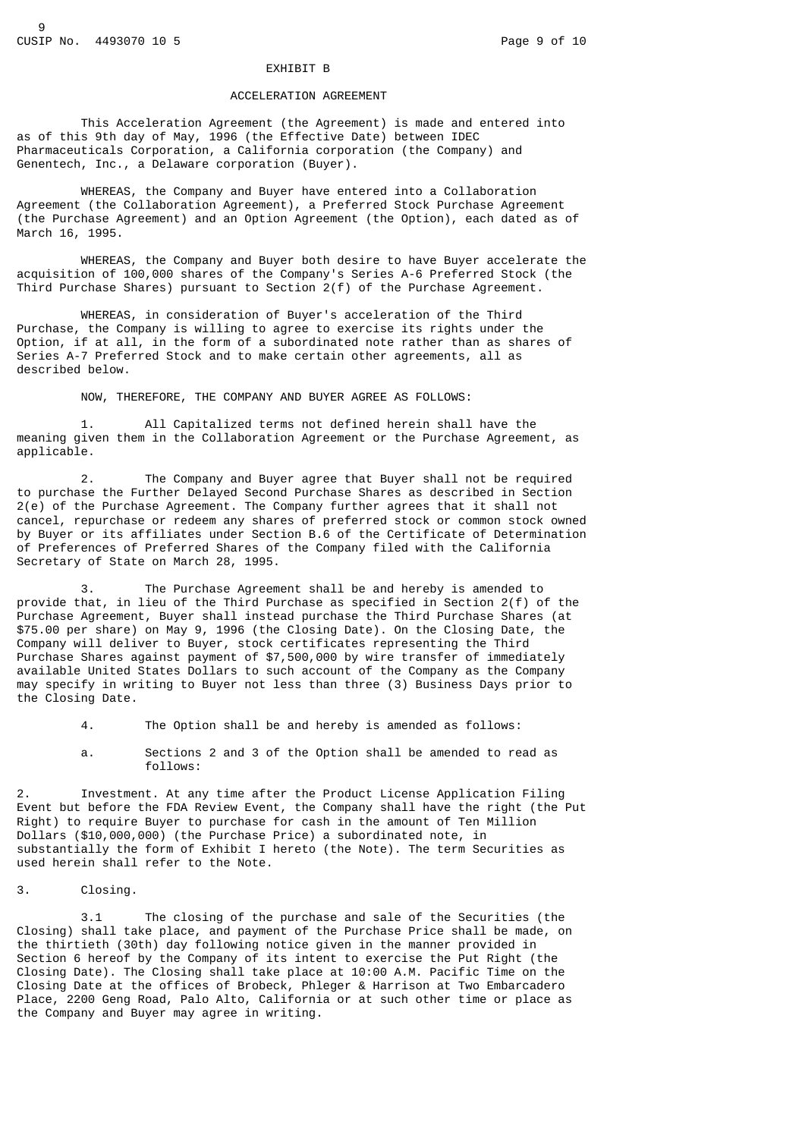#### EXHIBIT B

## ACCELERATION AGREEMENT

 This Acceleration Agreement (the Agreement) is made and entered into as of this 9th day of May, 1996 (the Effective Date) between IDEC Pharmaceuticals Corporation, a California corporation (the Company) and Genentech, Inc., a Delaware corporation (Buyer).

 WHEREAS, the Company and Buyer have entered into a Collaboration Agreement (the Collaboration Agreement), a Preferred Stock Purchase Agreement (the Purchase Agreement) and an Option Agreement (the Option), each dated as of March 16, 1995.

 WHEREAS, the Company and Buyer both desire to have Buyer accelerate the acquisition of 100,000 shares of the Company's Series A-6 Preferred Stock (the Third Purchase Shares) pursuant to Section 2(f) of the Purchase Agreement.

 WHEREAS, in consideration of Buyer's acceleration of the Third Purchase, the Company is willing to agree to exercise its rights under the Option, if at all, in the form of a subordinated note rather than as shares of Series A-7 Preferred Stock and to make certain other agreements, all as described below.

NOW, THEREFORE, THE COMPANY AND BUYER AGREE AS FOLLOWS:

 1. All Capitalized terms not defined herein shall have the meaning given them in the Collaboration Agreement or the Purchase Agreement, as applicable.

 2. The Company and Buyer agree that Buyer shall not be required to purchase the Further Delayed Second Purchase Shares as described in Section 2(e) of the Purchase Agreement. The Company further agrees that it shall not cancel, repurchase or redeem any shares of preferred stock or common stock owned by Buyer or its affiliates under Section B.6 of the Certificate of Determination of Preferences of Preferred Shares of the Company filed with the California Secretary of State on March 28, 1995.

 3. The Purchase Agreement shall be and hereby is amended to provide that, in lieu of the Third Purchase as specified in Section 2(f) of the Purchase Agreement, Buyer shall instead purchase the Third Purchase Shares (at \$75.00 per share) on May 9, 1996 (the Closing Date). On the Closing Date, the Company will deliver to Buyer, stock certificates representing the Third Purchase Shares against payment of \$7,500,000 by wire transfer of immediately available United States Dollars to such account of the Company as the Company may specify in writing to Buyer not less than three (3) Business Days prior to the Closing Date.

- 4. The Option shall be and hereby is amended as follows:
- a. Sections 2 and 3 of the Option shall be amended to read as follows:

2. Investment. At any time after the Product License Application Filing Event but before the FDA Review Event, the Company shall have the right (the Put Right) to require Buyer to purchase for cash in the amount of Ten Million Dollars (\$10,000,000) (the Purchase Price) a subordinated note, in substantially the form of Exhibit I hereto (the Note). The term Securities as used herein shall refer to the Note.

3. Closing.

 3.1 The closing of the purchase and sale of the Securities (the Closing) shall take place, and payment of the Purchase Price shall be made, on the thirtieth (30th) day following notice given in the manner provided in Section 6 hereof by the Company of its intent to exercise the Put Right (the Closing Date). The Closing shall take place at 10:00 A.M. Pacific Time on the Closing Date at the offices of Brobeck, Phleger & Harrison at Two Embarcadero Place, 2200 Geng Road, Palo Alto, California or at such other time or place as the Company and Buyer may agree in writing.